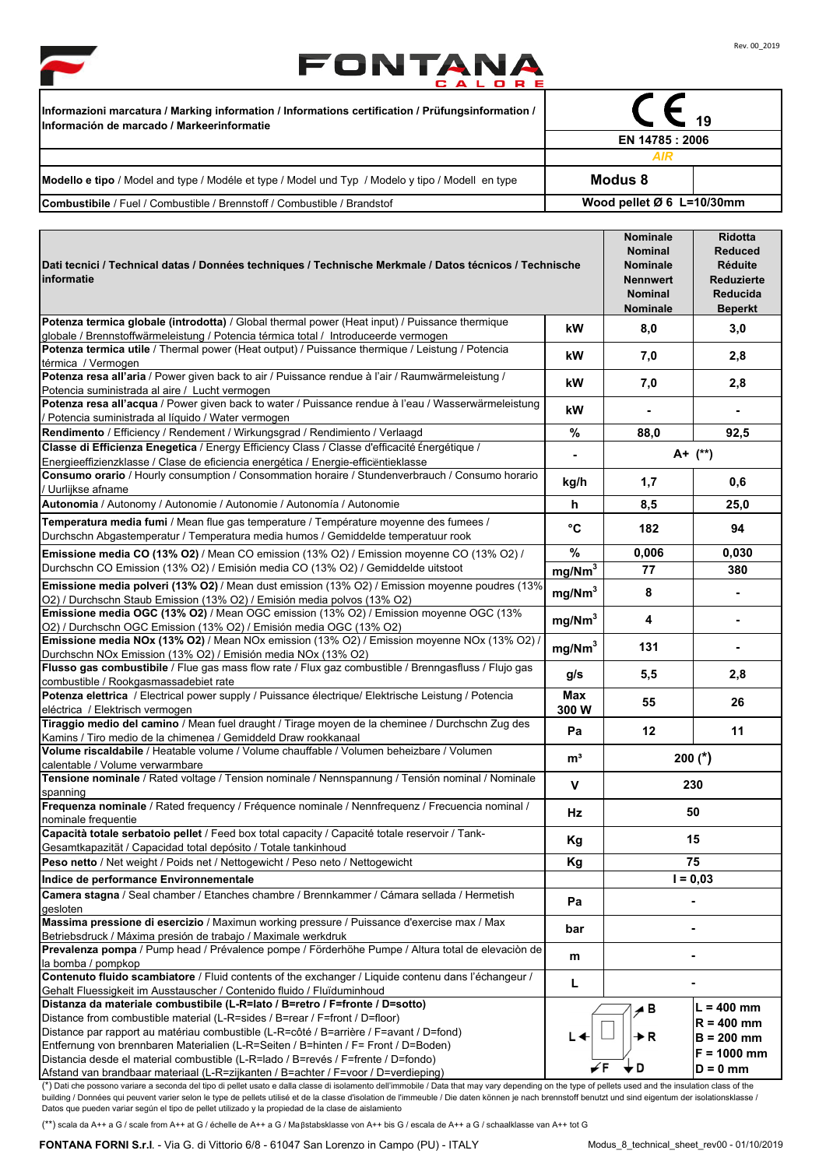



 $\overline{\phantom{a}}$ 

▰

| / Informazioni marcatura / Marking information / Informations certification / Prüfungsinformation /<br>Información de marcado / Markeerinformatie | $-19$<br>EN 14785 : 2006              |  |  |
|---------------------------------------------------------------------------------------------------------------------------------------------------|---------------------------------------|--|--|
|                                                                                                                                                   |                                       |  |  |
|                                                                                                                                                   | AIR                                   |  |  |
| Modello e tipo / Model and type / Modéle et type / Model und Typ / Modelo y tipo / Modell en type                                                 | Modus 8                               |  |  |
| <b>Combustibile</b> / Fuel / Combustible / Brennstoff / Combustible / Brandstof                                                                   | Wood pellet $\varnothing$ 6 L=10/30mm |  |  |

| 8,0<br>3,0<br>kW<br>globale / Brennstoffwärmeleistung / Potencia térmica total / Introduceerde vermogen<br>Potenza termica utile / Thermal power (Heat output) / Puissance thermique / Leistung / Potencia<br>7,0<br>2,8<br>kW<br>Potenza resa all'aria / Power given back to air / Puissance rendue à l'air / Raumwärmeleistung /<br>kW<br>7,0<br>2,8<br>Potencia suministrada al aire / Lucht vermogen<br>Potenza resa all'acqua / Power given back to water / Puissance rendue à l'eau / Wasserwärmeleistung<br>kW<br>Ξ.<br>Potencia suministrada al líquido / Water vermogen<br>%<br>88,0<br>92,5<br>A+ (**)<br>$\blacksquare$<br>Consumo orario / Hourly consumption / Consommation horaire / Stundenverbrauch / Consumo horario<br>0,6<br>kg/h<br>1,7<br>/ Uurlijkse afname<br>Autonomia / Autonomy / Autonomie / Autonomie / Autonomía / Autonomie<br>25,0<br>h<br>8,5<br>Temperatura media fumi / Mean flue gas temperature / Température moyenne des fumees /<br>°C<br>94<br>182<br>%<br>0,006<br>0,030<br>mg/Nm <sup>3</sup><br>77<br>380<br>8<br>mg/Nm <sup>3</sup><br>Ξ.<br>O2) / Durchschn Staub Emission (13% O2) / Emisión media polvos (13% O2)<br>mg/Nm <sup>3</sup><br>4<br>$\blacksquare$<br>O2) / Durchschn OGC Emission (13% O2) / Emisión media OGC (13% O2)<br>Emissione media NOx (13% O2) / Mean NOx emission (13% O2) / Emission moyenne NOx (13% O2) /<br>mg/Nm <sup>3</sup><br>131<br>5,5<br>g/s<br>2,8<br>combustible / Rookgasmassadebiet rate<br>Potenza elettrica / Electrical power supply / Puissance électrique/ Elektrische Leistung / Potencia<br>Max<br>55<br>26<br>300W<br>Tiraggio medio del camino / Mean fuel draught / Tirage moyen de la cheminee / Durchschn Zug des<br>12<br>Pa<br>11<br>Kamins / Tiro medio de la chimenea / Gemiddeld Draw rookkanaal<br>Volume riscaldabile / Heatable volume / Volume chauffable / Volumen beheizbare / Volumen<br>$200$ (*)<br>m <sup>3</sup><br>calentable / Volume verwarmbare<br>V<br>230<br>spanning<br>Frequenza nominale / Rated frequency / Fréquence nominale / Nennfrequenz / Frecuencia nominal /<br><b>Hz</b><br>50<br>Capacità totale serbatoio pellet / Feed box total capacity / Capacité totale reservoir / Tank-<br>15<br>Кg<br>Gesamtkapazität / Capacidad total depósito / Totale tankinhoud<br>75<br>Peso netto / Net weight / Poids net / Nettogewicht / Peso neto / Nettogewicht<br>Кg<br>$I = 0.03$<br>Indice de performance Environnementale<br>Camera stagna / Seal chamber / Etanches chambre / Brennkammer / Cámara sellada / Hermetish<br>Pa<br>bar<br>Betriebsdruck / Máxima presión de trabajo / Maximale werkdruk<br>Prevalenza pompa / Pump head / Prévalence pompe / Förderhöhe Pumpe / Altura total de elevación de<br>m<br>L<br>Gehalt Fluessigkeit im Ausstauscher / Contenido fluido / Fluïduminhoud<br>L = 400 mm<br>⊿B<br>$R = 400$ mm<br>Distance par rapport au matériau combustible (L-R=côté / B=arrière / F=avant / D=fond)<br>≯R<br>L◀<br>$B = 200$ mm<br>Entfernung von brennbaren Materialien (L-R=Seiten / B=hinten / F= Front / D=Boden)<br>$F = 1000$ mm<br>Distancia desde el material combustible (L-R=lado / B=revés / F=frente / D=fondo) | Dati tecnici / Technical datas / Données techniques / Technische Merkmale / Datos técnicos / Technische<br>informatie |  | <b>Nominale</b><br><b>Nominal</b><br><b>Nominale</b><br><b>Nennwert</b><br><b>Nominal</b><br><b>Nominale</b> | <b>Ridotta</b><br><b>Reduced</b><br>Réduite<br>Reduzierte<br><b>Reducida</b><br><b>Beperkt</b> |
|-----------------------------------------------------------------------------------------------------------------------------------------------------------------------------------------------------------------------------------------------------------------------------------------------------------------------------------------------------------------------------------------------------------------------------------------------------------------------------------------------------------------------------------------------------------------------------------------------------------------------------------------------------------------------------------------------------------------------------------------------------------------------------------------------------------------------------------------------------------------------------------------------------------------------------------------------------------------------------------------------------------------------------------------------------------------------------------------------------------------------------------------------------------------------------------------------------------------------------------------------------------------------------------------------------------------------------------------------------------------------------------------------------------------------------------------------------------------------------------------------------------------------------------------------------------------------------------------------------------------------------------------------------------------------------------------------------------------------------------------------------------------------------------------------------------------------------------------------------------------------------------------------------------------------------------------------------------------------------------------------------------------------------------------------------------------------------------------------------------------------------------------------------------------------------------------------------------------------------------------------------------------------------------------------------------------------------------------------------------------------------------------------------------------------------------------------------------------------------------------------------------------------------------------------------------------------------------------------------------------------------------------------------------------------------------------------------------------------------------------------------------------------------------------------------------------------------------------------------------------------------------------------------------------------------------------------------------------------------------------------------------------------------------------------------------------------------------------------------------------------------------------------------------------------------------|-----------------------------------------------------------------------------------------------------------------------|--|--------------------------------------------------------------------------------------------------------------|------------------------------------------------------------------------------------------------|
|                                                                                                                                                                                                                                                                                                                                                                                                                                                                                                                                                                                                                                                                                                                                                                                                                                                                                                                                                                                                                                                                                                                                                                                                                                                                                                                                                                                                                                                                                                                                                                                                                                                                                                                                                                                                                                                                                                                                                                                                                                                                                                                                                                                                                                                                                                                                                                                                                                                                                                                                                                                                                                                                                                                                                                                                                                                                                                                                                                                                                                                                                                                                                                                   | Potenza termica globale (introdotta) / Global thermal power (Heat input) / Puissance thermique                        |  |                                                                                                              |                                                                                                |
|                                                                                                                                                                                                                                                                                                                                                                                                                                                                                                                                                                                                                                                                                                                                                                                                                                                                                                                                                                                                                                                                                                                                                                                                                                                                                                                                                                                                                                                                                                                                                                                                                                                                                                                                                                                                                                                                                                                                                                                                                                                                                                                                                                                                                                                                                                                                                                                                                                                                                                                                                                                                                                                                                                                                                                                                                                                                                                                                                                                                                                                                                                                                                                                   |                                                                                                                       |  |                                                                                                              |                                                                                                |
|                                                                                                                                                                                                                                                                                                                                                                                                                                                                                                                                                                                                                                                                                                                                                                                                                                                                                                                                                                                                                                                                                                                                                                                                                                                                                                                                                                                                                                                                                                                                                                                                                                                                                                                                                                                                                                                                                                                                                                                                                                                                                                                                                                                                                                                                                                                                                                                                                                                                                                                                                                                                                                                                                                                                                                                                                                                                                                                                                                                                                                                                                                                                                                                   | térmica / Vermogen                                                                                                    |  |                                                                                                              |                                                                                                |
|                                                                                                                                                                                                                                                                                                                                                                                                                                                                                                                                                                                                                                                                                                                                                                                                                                                                                                                                                                                                                                                                                                                                                                                                                                                                                                                                                                                                                                                                                                                                                                                                                                                                                                                                                                                                                                                                                                                                                                                                                                                                                                                                                                                                                                                                                                                                                                                                                                                                                                                                                                                                                                                                                                                                                                                                                                                                                                                                                                                                                                                                                                                                                                                   |                                                                                                                       |  |                                                                                                              |                                                                                                |
|                                                                                                                                                                                                                                                                                                                                                                                                                                                                                                                                                                                                                                                                                                                                                                                                                                                                                                                                                                                                                                                                                                                                                                                                                                                                                                                                                                                                                                                                                                                                                                                                                                                                                                                                                                                                                                                                                                                                                                                                                                                                                                                                                                                                                                                                                                                                                                                                                                                                                                                                                                                                                                                                                                                                                                                                                                                                                                                                                                                                                                                                                                                                                                                   |                                                                                                                       |  |                                                                                                              |                                                                                                |
|                                                                                                                                                                                                                                                                                                                                                                                                                                                                                                                                                                                                                                                                                                                                                                                                                                                                                                                                                                                                                                                                                                                                                                                                                                                                                                                                                                                                                                                                                                                                                                                                                                                                                                                                                                                                                                                                                                                                                                                                                                                                                                                                                                                                                                                                                                                                                                                                                                                                                                                                                                                                                                                                                                                                                                                                                                                                                                                                                                                                                                                                                                                                                                                   |                                                                                                                       |  |                                                                                                              |                                                                                                |
|                                                                                                                                                                                                                                                                                                                                                                                                                                                                                                                                                                                                                                                                                                                                                                                                                                                                                                                                                                                                                                                                                                                                                                                                                                                                                                                                                                                                                                                                                                                                                                                                                                                                                                                                                                                                                                                                                                                                                                                                                                                                                                                                                                                                                                                                                                                                                                                                                                                                                                                                                                                                                                                                                                                                                                                                                                                                                                                                                                                                                                                                                                                                                                                   | Rendimento / Efficiency / Rendement / Wirkungsgrad / Rendimiento / Verlaagd                                           |  |                                                                                                              |                                                                                                |
|                                                                                                                                                                                                                                                                                                                                                                                                                                                                                                                                                                                                                                                                                                                                                                                                                                                                                                                                                                                                                                                                                                                                                                                                                                                                                                                                                                                                                                                                                                                                                                                                                                                                                                                                                                                                                                                                                                                                                                                                                                                                                                                                                                                                                                                                                                                                                                                                                                                                                                                                                                                                                                                                                                                                                                                                                                                                                                                                                                                                                                                                                                                                                                                   | Classe di Efficienza Enegetica / Energy Efficiency Class / Classe d'efficacité Énergétique /                          |  |                                                                                                              |                                                                                                |
|                                                                                                                                                                                                                                                                                                                                                                                                                                                                                                                                                                                                                                                                                                                                                                                                                                                                                                                                                                                                                                                                                                                                                                                                                                                                                                                                                                                                                                                                                                                                                                                                                                                                                                                                                                                                                                                                                                                                                                                                                                                                                                                                                                                                                                                                                                                                                                                                                                                                                                                                                                                                                                                                                                                                                                                                                                                                                                                                                                                                                                                                                                                                                                                   | Energieeffizienzklasse / Clase de eficiencia energética / Energie-efficientieklasse                                   |  |                                                                                                              |                                                                                                |
|                                                                                                                                                                                                                                                                                                                                                                                                                                                                                                                                                                                                                                                                                                                                                                                                                                                                                                                                                                                                                                                                                                                                                                                                                                                                                                                                                                                                                                                                                                                                                                                                                                                                                                                                                                                                                                                                                                                                                                                                                                                                                                                                                                                                                                                                                                                                                                                                                                                                                                                                                                                                                                                                                                                                                                                                                                                                                                                                                                                                                                                                                                                                                                                   |                                                                                                                       |  |                                                                                                              |                                                                                                |
|                                                                                                                                                                                                                                                                                                                                                                                                                                                                                                                                                                                                                                                                                                                                                                                                                                                                                                                                                                                                                                                                                                                                                                                                                                                                                                                                                                                                                                                                                                                                                                                                                                                                                                                                                                                                                                                                                                                                                                                                                                                                                                                                                                                                                                                                                                                                                                                                                                                                                                                                                                                                                                                                                                                                                                                                                                                                                                                                                                                                                                                                                                                                                                                   |                                                                                                                       |  |                                                                                                              |                                                                                                |
|                                                                                                                                                                                                                                                                                                                                                                                                                                                                                                                                                                                                                                                                                                                                                                                                                                                                                                                                                                                                                                                                                                                                                                                                                                                                                                                                                                                                                                                                                                                                                                                                                                                                                                                                                                                                                                                                                                                                                                                                                                                                                                                                                                                                                                                                                                                                                                                                                                                                                                                                                                                                                                                                                                                                                                                                                                                                                                                                                                                                                                                                                                                                                                                   |                                                                                                                       |  |                                                                                                              |                                                                                                |
|                                                                                                                                                                                                                                                                                                                                                                                                                                                                                                                                                                                                                                                                                                                                                                                                                                                                                                                                                                                                                                                                                                                                                                                                                                                                                                                                                                                                                                                                                                                                                                                                                                                                                                                                                                                                                                                                                                                                                                                                                                                                                                                                                                                                                                                                                                                                                                                                                                                                                                                                                                                                                                                                                                                                                                                                                                                                                                                                                                                                                                                                                                                                                                                   | Durchschn Abgastemperatur / Temperatura media humos / Gemiddelde temperatuur rook                                     |  |                                                                                                              |                                                                                                |
|                                                                                                                                                                                                                                                                                                                                                                                                                                                                                                                                                                                                                                                                                                                                                                                                                                                                                                                                                                                                                                                                                                                                                                                                                                                                                                                                                                                                                                                                                                                                                                                                                                                                                                                                                                                                                                                                                                                                                                                                                                                                                                                                                                                                                                                                                                                                                                                                                                                                                                                                                                                                                                                                                                                                                                                                                                                                                                                                                                                                                                                                                                                                                                                   | Emissione media CO (13% O2) / Mean CO emission (13% O2) / Emission moyenne CO (13% O2) /                              |  |                                                                                                              |                                                                                                |
|                                                                                                                                                                                                                                                                                                                                                                                                                                                                                                                                                                                                                                                                                                                                                                                                                                                                                                                                                                                                                                                                                                                                                                                                                                                                                                                                                                                                                                                                                                                                                                                                                                                                                                                                                                                                                                                                                                                                                                                                                                                                                                                                                                                                                                                                                                                                                                                                                                                                                                                                                                                                                                                                                                                                                                                                                                                                                                                                                                                                                                                                                                                                                                                   | Durchschn CO Emission (13% O2) / Emisión media CO (13% O2) / Gemiddelde uitstoot                                      |  |                                                                                                              |                                                                                                |
|                                                                                                                                                                                                                                                                                                                                                                                                                                                                                                                                                                                                                                                                                                                                                                                                                                                                                                                                                                                                                                                                                                                                                                                                                                                                                                                                                                                                                                                                                                                                                                                                                                                                                                                                                                                                                                                                                                                                                                                                                                                                                                                                                                                                                                                                                                                                                                                                                                                                                                                                                                                                                                                                                                                                                                                                                                                                                                                                                                                                                                                                                                                                                                                   | Emissione media polveri (13% O2) / Mean dust emission (13% O2) / Emission moyenne poudres (13%                        |  |                                                                                                              |                                                                                                |
|                                                                                                                                                                                                                                                                                                                                                                                                                                                                                                                                                                                                                                                                                                                                                                                                                                                                                                                                                                                                                                                                                                                                                                                                                                                                                                                                                                                                                                                                                                                                                                                                                                                                                                                                                                                                                                                                                                                                                                                                                                                                                                                                                                                                                                                                                                                                                                                                                                                                                                                                                                                                                                                                                                                                                                                                                                                                                                                                                                                                                                                                                                                                                                                   | Emissione media OGC (13% O2) / Mean OGC emission (13% O2) / Emission moyenne OGC (13%                                 |  |                                                                                                              |                                                                                                |
|                                                                                                                                                                                                                                                                                                                                                                                                                                                                                                                                                                                                                                                                                                                                                                                                                                                                                                                                                                                                                                                                                                                                                                                                                                                                                                                                                                                                                                                                                                                                                                                                                                                                                                                                                                                                                                                                                                                                                                                                                                                                                                                                                                                                                                                                                                                                                                                                                                                                                                                                                                                                                                                                                                                                                                                                                                                                                                                                                                                                                                                                                                                                                                                   |                                                                                                                       |  |                                                                                                              |                                                                                                |
|                                                                                                                                                                                                                                                                                                                                                                                                                                                                                                                                                                                                                                                                                                                                                                                                                                                                                                                                                                                                                                                                                                                                                                                                                                                                                                                                                                                                                                                                                                                                                                                                                                                                                                                                                                                                                                                                                                                                                                                                                                                                                                                                                                                                                                                                                                                                                                                                                                                                                                                                                                                                                                                                                                                                                                                                                                                                                                                                                                                                                                                                                                                                                                                   | Durchschn NOx Emission (13% O2) / Emisión media NOx (13% O2)                                                          |  |                                                                                                              |                                                                                                |
|                                                                                                                                                                                                                                                                                                                                                                                                                                                                                                                                                                                                                                                                                                                                                                                                                                                                                                                                                                                                                                                                                                                                                                                                                                                                                                                                                                                                                                                                                                                                                                                                                                                                                                                                                                                                                                                                                                                                                                                                                                                                                                                                                                                                                                                                                                                                                                                                                                                                                                                                                                                                                                                                                                                                                                                                                                                                                                                                                                                                                                                                                                                                                                                   | Flusso gas combustibile / Flue gas mass flow rate / Flux gaz combustible / Brenngasfluss / Flujo gas                  |  |                                                                                                              |                                                                                                |
|                                                                                                                                                                                                                                                                                                                                                                                                                                                                                                                                                                                                                                                                                                                                                                                                                                                                                                                                                                                                                                                                                                                                                                                                                                                                                                                                                                                                                                                                                                                                                                                                                                                                                                                                                                                                                                                                                                                                                                                                                                                                                                                                                                                                                                                                                                                                                                                                                                                                                                                                                                                                                                                                                                                                                                                                                                                                                                                                                                                                                                                                                                                                                                                   |                                                                                                                       |  |                                                                                                              |                                                                                                |
|                                                                                                                                                                                                                                                                                                                                                                                                                                                                                                                                                                                                                                                                                                                                                                                                                                                                                                                                                                                                                                                                                                                                                                                                                                                                                                                                                                                                                                                                                                                                                                                                                                                                                                                                                                                                                                                                                                                                                                                                                                                                                                                                                                                                                                                                                                                                                                                                                                                                                                                                                                                                                                                                                                                                                                                                                                                                                                                                                                                                                                                                                                                                                                                   | eléctrica / Elektrisch vermogen                                                                                       |  |                                                                                                              |                                                                                                |
|                                                                                                                                                                                                                                                                                                                                                                                                                                                                                                                                                                                                                                                                                                                                                                                                                                                                                                                                                                                                                                                                                                                                                                                                                                                                                                                                                                                                                                                                                                                                                                                                                                                                                                                                                                                                                                                                                                                                                                                                                                                                                                                                                                                                                                                                                                                                                                                                                                                                                                                                                                                                                                                                                                                                                                                                                                                                                                                                                                                                                                                                                                                                                                                   |                                                                                                                       |  |                                                                                                              |                                                                                                |
|                                                                                                                                                                                                                                                                                                                                                                                                                                                                                                                                                                                                                                                                                                                                                                                                                                                                                                                                                                                                                                                                                                                                                                                                                                                                                                                                                                                                                                                                                                                                                                                                                                                                                                                                                                                                                                                                                                                                                                                                                                                                                                                                                                                                                                                                                                                                                                                                                                                                                                                                                                                                                                                                                                                                                                                                                                                                                                                                                                                                                                                                                                                                                                                   |                                                                                                                       |  |                                                                                                              |                                                                                                |
|                                                                                                                                                                                                                                                                                                                                                                                                                                                                                                                                                                                                                                                                                                                                                                                                                                                                                                                                                                                                                                                                                                                                                                                                                                                                                                                                                                                                                                                                                                                                                                                                                                                                                                                                                                                                                                                                                                                                                                                                                                                                                                                                                                                                                                                                                                                                                                                                                                                                                                                                                                                                                                                                                                                                                                                                                                                                                                                                                                                                                                                                                                                                                                                   |                                                                                                                       |  |                                                                                                              |                                                                                                |
|                                                                                                                                                                                                                                                                                                                                                                                                                                                                                                                                                                                                                                                                                                                                                                                                                                                                                                                                                                                                                                                                                                                                                                                                                                                                                                                                                                                                                                                                                                                                                                                                                                                                                                                                                                                                                                                                                                                                                                                                                                                                                                                                                                                                                                                                                                                                                                                                                                                                                                                                                                                                                                                                                                                                                                                                                                                                                                                                                                                                                                                                                                                                                                                   | Tensione nominale / Rated voltage / Tension nominale / Nennspannung / Tensión nominal / Nominale                      |  |                                                                                                              |                                                                                                |
|                                                                                                                                                                                                                                                                                                                                                                                                                                                                                                                                                                                                                                                                                                                                                                                                                                                                                                                                                                                                                                                                                                                                                                                                                                                                                                                                                                                                                                                                                                                                                                                                                                                                                                                                                                                                                                                                                                                                                                                                                                                                                                                                                                                                                                                                                                                                                                                                                                                                                                                                                                                                                                                                                                                                                                                                                                                                                                                                                                                                                                                                                                                                                                                   |                                                                                                                       |  |                                                                                                              |                                                                                                |
|                                                                                                                                                                                                                                                                                                                                                                                                                                                                                                                                                                                                                                                                                                                                                                                                                                                                                                                                                                                                                                                                                                                                                                                                                                                                                                                                                                                                                                                                                                                                                                                                                                                                                                                                                                                                                                                                                                                                                                                                                                                                                                                                                                                                                                                                                                                                                                                                                                                                                                                                                                                                                                                                                                                                                                                                                                                                                                                                                                                                                                                                                                                                                                                   | nominale frequentie                                                                                                   |  |                                                                                                              |                                                                                                |
|                                                                                                                                                                                                                                                                                                                                                                                                                                                                                                                                                                                                                                                                                                                                                                                                                                                                                                                                                                                                                                                                                                                                                                                                                                                                                                                                                                                                                                                                                                                                                                                                                                                                                                                                                                                                                                                                                                                                                                                                                                                                                                                                                                                                                                                                                                                                                                                                                                                                                                                                                                                                                                                                                                                                                                                                                                                                                                                                                                                                                                                                                                                                                                                   |                                                                                                                       |  |                                                                                                              |                                                                                                |
|                                                                                                                                                                                                                                                                                                                                                                                                                                                                                                                                                                                                                                                                                                                                                                                                                                                                                                                                                                                                                                                                                                                                                                                                                                                                                                                                                                                                                                                                                                                                                                                                                                                                                                                                                                                                                                                                                                                                                                                                                                                                                                                                                                                                                                                                                                                                                                                                                                                                                                                                                                                                                                                                                                                                                                                                                                                                                                                                                                                                                                                                                                                                                                                   |                                                                                                                       |  |                                                                                                              |                                                                                                |
|                                                                                                                                                                                                                                                                                                                                                                                                                                                                                                                                                                                                                                                                                                                                                                                                                                                                                                                                                                                                                                                                                                                                                                                                                                                                                                                                                                                                                                                                                                                                                                                                                                                                                                                                                                                                                                                                                                                                                                                                                                                                                                                                                                                                                                                                                                                                                                                                                                                                                                                                                                                                                                                                                                                                                                                                                                                                                                                                                                                                                                                                                                                                                                                   |                                                                                                                       |  |                                                                                                              |                                                                                                |
|                                                                                                                                                                                                                                                                                                                                                                                                                                                                                                                                                                                                                                                                                                                                                                                                                                                                                                                                                                                                                                                                                                                                                                                                                                                                                                                                                                                                                                                                                                                                                                                                                                                                                                                                                                                                                                                                                                                                                                                                                                                                                                                                                                                                                                                                                                                                                                                                                                                                                                                                                                                                                                                                                                                                                                                                                                                                                                                                                                                                                                                                                                                                                                                   |                                                                                                                       |  |                                                                                                              |                                                                                                |
|                                                                                                                                                                                                                                                                                                                                                                                                                                                                                                                                                                                                                                                                                                                                                                                                                                                                                                                                                                                                                                                                                                                                                                                                                                                                                                                                                                                                                                                                                                                                                                                                                                                                                                                                                                                                                                                                                                                                                                                                                                                                                                                                                                                                                                                                                                                                                                                                                                                                                                                                                                                                                                                                                                                                                                                                                                                                                                                                                                                                                                                                                                                                                                                   | gesloten                                                                                                              |  |                                                                                                              |                                                                                                |
|                                                                                                                                                                                                                                                                                                                                                                                                                                                                                                                                                                                                                                                                                                                                                                                                                                                                                                                                                                                                                                                                                                                                                                                                                                                                                                                                                                                                                                                                                                                                                                                                                                                                                                                                                                                                                                                                                                                                                                                                                                                                                                                                                                                                                                                                                                                                                                                                                                                                                                                                                                                                                                                                                                                                                                                                                                                                                                                                                                                                                                                                                                                                                                                   | Massima pressione di esercizio / Maximun working pressure / Puissance d'exercise max / Max                            |  |                                                                                                              |                                                                                                |
|                                                                                                                                                                                                                                                                                                                                                                                                                                                                                                                                                                                                                                                                                                                                                                                                                                                                                                                                                                                                                                                                                                                                                                                                                                                                                                                                                                                                                                                                                                                                                                                                                                                                                                                                                                                                                                                                                                                                                                                                                                                                                                                                                                                                                                                                                                                                                                                                                                                                                                                                                                                                                                                                                                                                                                                                                                                                                                                                                                                                                                                                                                                                                                                   |                                                                                                                       |  |                                                                                                              |                                                                                                |
|                                                                                                                                                                                                                                                                                                                                                                                                                                                                                                                                                                                                                                                                                                                                                                                                                                                                                                                                                                                                                                                                                                                                                                                                                                                                                                                                                                                                                                                                                                                                                                                                                                                                                                                                                                                                                                                                                                                                                                                                                                                                                                                                                                                                                                                                                                                                                                                                                                                                                                                                                                                                                                                                                                                                                                                                                                                                                                                                                                                                                                                                                                                                                                                   | la bomba / pompkop                                                                                                    |  |                                                                                                              |                                                                                                |
|                                                                                                                                                                                                                                                                                                                                                                                                                                                                                                                                                                                                                                                                                                                                                                                                                                                                                                                                                                                                                                                                                                                                                                                                                                                                                                                                                                                                                                                                                                                                                                                                                                                                                                                                                                                                                                                                                                                                                                                                                                                                                                                                                                                                                                                                                                                                                                                                                                                                                                                                                                                                                                                                                                                                                                                                                                                                                                                                                                                                                                                                                                                                                                                   | Contenuto fluido scambiatore / Fluid contents of the exchanger / Liquide contenu dans l'échangeur /                   |  |                                                                                                              |                                                                                                |
|                                                                                                                                                                                                                                                                                                                                                                                                                                                                                                                                                                                                                                                                                                                                                                                                                                                                                                                                                                                                                                                                                                                                                                                                                                                                                                                                                                                                                                                                                                                                                                                                                                                                                                                                                                                                                                                                                                                                                                                                                                                                                                                                                                                                                                                                                                                                                                                                                                                                                                                                                                                                                                                                                                                                                                                                                                                                                                                                                                                                                                                                                                                                                                                   | Distanza da materiale combustibile (L-R=lato / B=retro / F=fronte / D=sotto)                                          |  |                                                                                                              |                                                                                                |
|                                                                                                                                                                                                                                                                                                                                                                                                                                                                                                                                                                                                                                                                                                                                                                                                                                                                                                                                                                                                                                                                                                                                                                                                                                                                                                                                                                                                                                                                                                                                                                                                                                                                                                                                                                                                                                                                                                                                                                                                                                                                                                                                                                                                                                                                                                                                                                                                                                                                                                                                                                                                                                                                                                                                                                                                                                                                                                                                                                                                                                                                                                                                                                                   | Distance from combustible material (L-R=sides / B=rear / F=front / D=floor)                                           |  |                                                                                                              |                                                                                                |
|                                                                                                                                                                                                                                                                                                                                                                                                                                                                                                                                                                                                                                                                                                                                                                                                                                                                                                                                                                                                                                                                                                                                                                                                                                                                                                                                                                                                                                                                                                                                                                                                                                                                                                                                                                                                                                                                                                                                                                                                                                                                                                                                                                                                                                                                                                                                                                                                                                                                                                                                                                                                                                                                                                                                                                                                                                                                                                                                                                                                                                                                                                                                                                                   |                                                                                                                       |  |                                                                                                              |                                                                                                |
|                                                                                                                                                                                                                                                                                                                                                                                                                                                                                                                                                                                                                                                                                                                                                                                                                                                                                                                                                                                                                                                                                                                                                                                                                                                                                                                                                                                                                                                                                                                                                                                                                                                                                                                                                                                                                                                                                                                                                                                                                                                                                                                                                                                                                                                                                                                                                                                                                                                                                                                                                                                                                                                                                                                                                                                                                                                                                                                                                                                                                                                                                                                                                                                   |                                                                                                                       |  |                                                                                                              |                                                                                                |
|                                                                                                                                                                                                                                                                                                                                                                                                                                                                                                                                                                                                                                                                                                                                                                                                                                                                                                                                                                                                                                                                                                                                                                                                                                                                                                                                                                                                                                                                                                                                                                                                                                                                                                                                                                                                                                                                                                                                                                                                                                                                                                                                                                                                                                                                                                                                                                                                                                                                                                                                                                                                                                                                                                                                                                                                                                                                                                                                                                                                                                                                                                                                                                                   | Afstand van brandbaar materiaal (L-R=zijkanten / B=achter / F=voor / D=verdieping)                                    |  | D                                                                                                            | $D = 0$ mm                                                                                     |

(\*) Dati che possono variare a seconda del tipo di pellet usato e dalla classe di isolamento dell'immobile / Data that may vary depending on the type of pellets used and the insulation class of the building / Données qui peuvent varier selon le type de pellets utilisé et de la classe d'isolation de l'immeuble / Die daten können je nach brennstoff benutzt und sind eigentum der isolationsklasse / Datos que pueden variar según el tipo de pellet utilizado y la propiedad de la clase de aislamiento

(\*\*) scala da A++ a G / scale from A++ at G / échelle de A++ a G / Maβstabsklasse von A++ bis G / escala de A++ a G / schaalklasse van A++ tot G